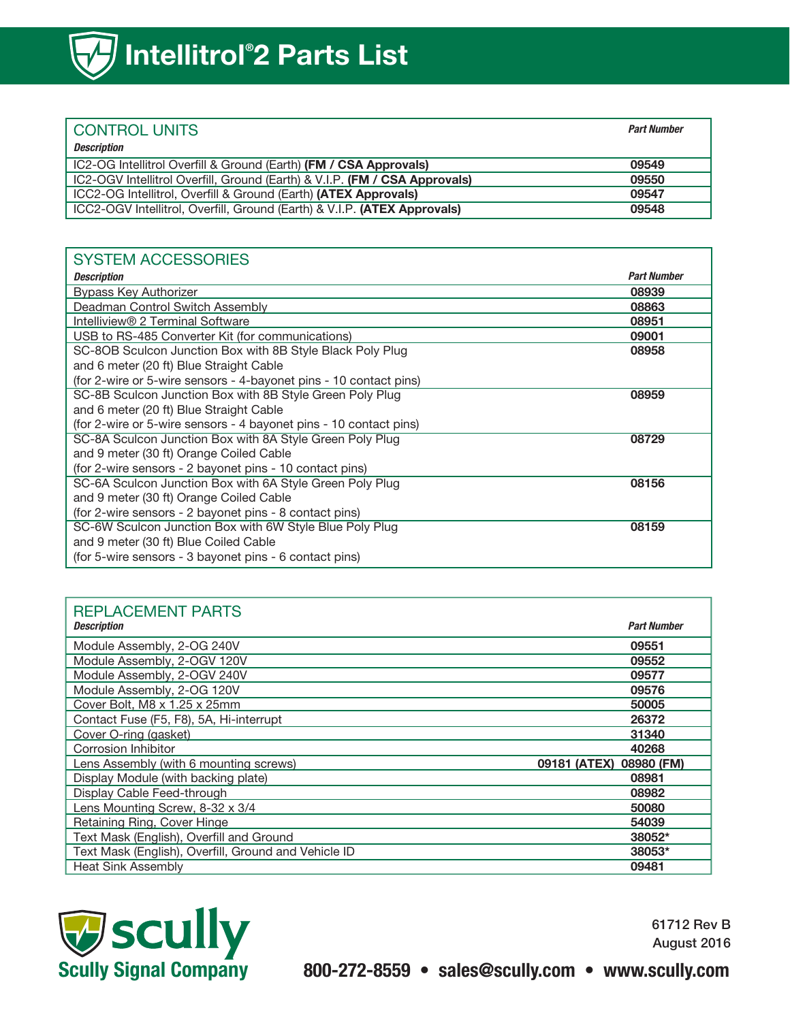| I CONTROL UNITS                                                            | <b>Part Number</b> |
|----------------------------------------------------------------------------|--------------------|
| <b>Description</b>                                                         |                    |
| IC2-OG Intellitrol Overfill & Ground (Earth) (FM / CSA Approvals)          | 09549              |
| IC2-OGV Intellitrol Overfill, Ground (Earth) & V.I.P. (FM / CSA Approvals) | 09550              |
| ICC2-OG Intellitrol, Overfill & Ground (Earth) (ATEX Approvals)            | 09547              |
| ICC2-OGV Intellitrol, Overfill, Ground (Earth) & V.I.P. (ATEX Approvals)   | 09548              |

## SYSTEM ACCESSORIES

| <b>Description</b>                                                | <b>Part Number</b> |
|-------------------------------------------------------------------|--------------------|
| <b>Bypass Key Authorizer</b>                                      | 08939              |
| Deadman Control Switch Assembly                                   | 08863              |
| Intelliview® 2 Terminal Software                                  | 08951              |
| USB to RS-485 Converter Kit (for communications)                  | 09001              |
| SC-8OB Sculcon Junction Box with 8B Style Black Poly Plug         | 08958              |
| and 6 meter (20 ft) Blue Straight Cable                           |                    |
| (for 2-wire or 5-wire sensors - 4-bayonet pins - 10 contact pins) |                    |
| SC-8B Sculcon Junction Box with 8B Style Green Poly Plug          | 08959              |
| and 6 meter (20 ft) Blue Straight Cable                           |                    |
| (for 2-wire or 5-wire sensors - 4 bayonet pins - 10 contact pins) |                    |
| SC-8A Sculcon Junction Box with 8A Style Green Poly Plug          | 08729              |
| and 9 meter (30 ft) Orange Coiled Cable                           |                    |
| (for 2-wire sensors - 2 bayonet pins - 10 contact pins)           |                    |
| SC-6A Sculcon Junction Box with 6A Style Green Poly Plug          | 08156              |
| and 9 meter (30 ft) Orange Coiled Cable                           |                    |
| (for 2-wire sensors - 2 bayonet pins - 8 contact pins)            |                    |
| SC-6W Sculcon Junction Box with 6W Style Blue Poly Plug           | 08159              |
| and 9 meter (30 ft) Blue Coiled Cable                             |                    |
| (for 5-wire sensors - 3 bayonet pins - 6 contact pins)            |                    |

## REPLACEMENT PARTS

| <b>Description</b>                                   | <b>Part Number</b>      |
|------------------------------------------------------|-------------------------|
| Module Assembly, 2-OG 240V                           | 09551                   |
| Module Assembly, 2-OGV 120V                          | 09552                   |
| Module Assembly, 2-OGV 240V                          | 09577                   |
| Module Assembly, 2-OG 120V                           | 09576                   |
| Cover Bolt, M8 x 1.25 x 25mm                         | 50005                   |
| Contact Fuse (F5, F8), 5A, Hi-interrupt              | 26372                   |
| Cover O-ring (gasket)                                | 31340                   |
| Corrosion Inhibitor                                  | 40268                   |
| Lens Assembly (with 6 mounting screws)               | 09181 (ATEX) 08980 (FM) |
| Display Module (with backing plate)                  | 08981                   |
| Display Cable Feed-through                           | 08982                   |
| Lens Mounting Screw, 8-32 x 3/4                      | 50080                   |
| Retaining Ring, Cover Hinge                          | 54039                   |
| Text Mask (English), Overfill and Ground             | 38052*                  |
| Text Mask (English), Overfill, Ground and Vehicle ID | 38053*                  |
| <b>Heat Sink Assembly</b>                            | 09481                   |



61712 Rev B August 2016